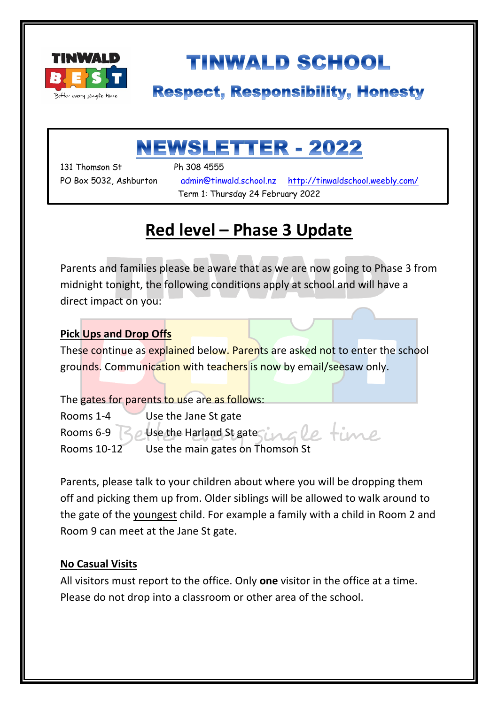

# **TINWALD SCHOOL**

### **Respect, Responsibility, Honesty**

## NEWSLETTER - 2022

131 Thomson St Ph 308 4555

۱

PO Box 5032, Ashburton admin@tinwald.school.nz http://tinwaldschool.weebly.com/ Term 1: Thursday 24 February 2022

### **Red level – Phase 3 Update**

Parents and families please be aware that as we are now going to Phase 3 from midnight tonight, the following conditions apply at school and will have a direct impact on you:

#### **Pick Ups and Drop Offs**

These continue as explained below. Parents are asked not to enter the school grounds. Communication with teachers is now by email/seesaw only.

The gates for parents to use are as follows: Rooms 1-4 Use the Jane St gate e time Rooms 6-9  $\leq$  Use the Harland St gate Rooms 10-12 Use the main gates on Thomson St

Parents, please talk to your children about where you will be dropping them off and picking them up from. Older siblings will be allowed to walk around to the gate of the youngest child. For example a family with a child in Room 2 and Room 9 can meet at the Jane St gate.

#### **No Casual Visits**

All visitors must report to the office. Only **one** visitor in the office at a time. Please do not drop into a classroom or other area of the school.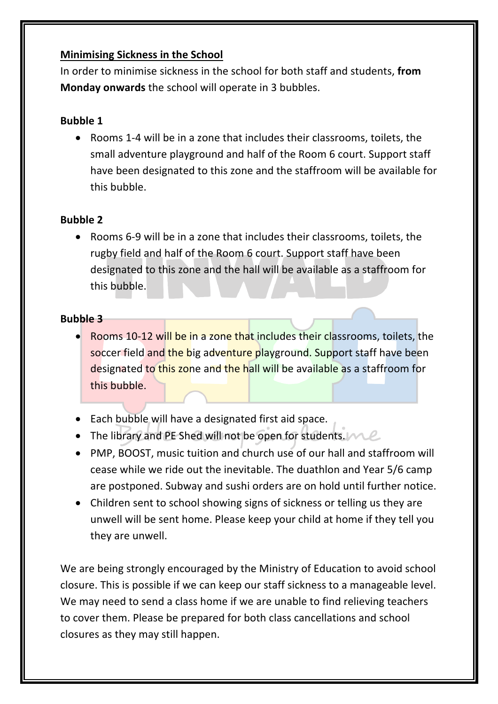#### **Minimising Sickness in the School**

In order to minimise sickness in the school for both staff and students, **from Monday onwards** the school will operate in 3 bubbles.

#### **Bubble 1**

• Rooms 1-4 will be in a zone that includes their classrooms, toilets, the small adventure playground and half of the Room 6 court. Support staff have been designated to this zone and the staffroom will be available for this bubble.

#### **Bubble 2**

• Rooms 6-9 will be in a zone that includes their classrooms, toilets, the rugby field and half of the Room 6 court. Support staff have been designated to this zone and the hall will be available as a staffroom for this bubble.

#### **Bubble 3**

- Rooms 10-12 will be in a zone that includes their classrooms, toilets, the soccer field and the big adventure playground. Support staff have been designated to this zone and the hall will be available as a staffroom for this bubble.
- Each bubble will have a designated first aid space.
- The library and PE Shed will not be open for students.  $MC$
- PMP, BOOST, music tuition and church use of our hall and staffroom will cease while we ride out the inevitable. The duathlon and Year 5/6 camp are postponed. Subway and sushi orders are on hold until further notice.
- Children sent to school showing signs of sickness or telling us they are unwell will be sent home. Please keep your child at home if they tell you they are unwell.

We are being strongly encouraged by the Ministry of Education to avoid school closure. This is possible if we can keep our staff sickness to a manageable level. We may need to send a class home if we are unable to find relieving teachers to cover them. Please be prepared for both class cancellations and school closures as they may still happen.